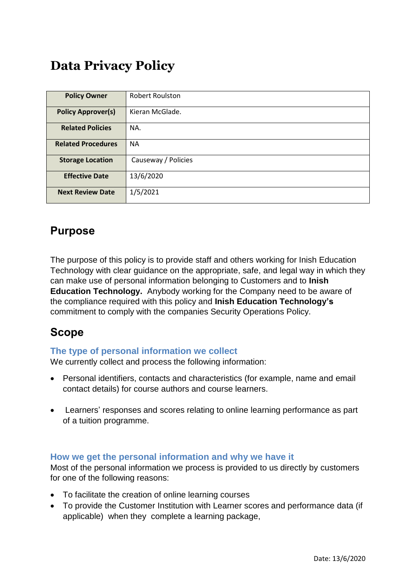# **Data Privacy Policy**

| <b>Policy Owner</b>       | <b>Robert Roulston</b> |  |  |
|---------------------------|------------------------|--|--|
| <b>Policy Approver(s)</b> | Kieran McGlade.        |  |  |
| <b>Related Policies</b>   | NA.                    |  |  |
| <b>Related Procedures</b> | <b>NA</b>              |  |  |
| <b>Storage Location</b>   | Causeway / Policies    |  |  |
| <b>Effective Date</b>     | 13/6/2020              |  |  |
| <b>Next Review Date</b>   | 1/5/2021               |  |  |

## **Purpose**

The purpose of this policy is to provide staff and others working for Inish Education Technology with clear guidance on the appropriate, safe, and legal way in which they can make use of personal information belonging to Customers and to **Inish Education Technology.** Anybody working for the Company need to be aware of the compliance required with this policy and **Inish Education Technology's** commitment to comply with the companies Security Operations Policy.

## **Scope**

#### **The type of personal information we collect**

We currently collect and process the following information:

- Personal identifiers, contacts and characteristics (for example, name and email contact details) for course authors and course learners.
- Learners' responses and scores relating to online learning performance as part of a tuition programme.

#### **How we get the personal information and why we have it**

Most of the personal information we process is provided to us directly by customers for one of the following reasons:

- To facilitate the creation of online learning courses
- To provide the Customer Institution with Learner scores and performance data (if applicable) when they complete a learning package,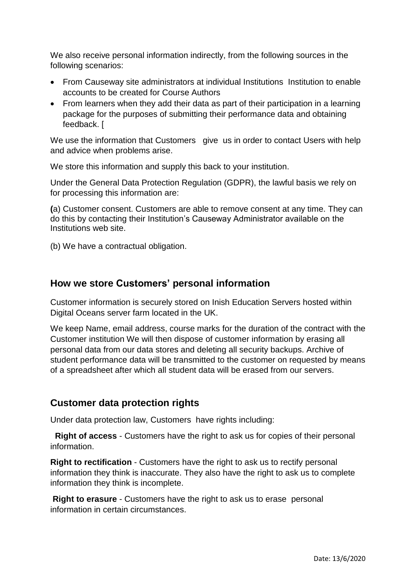We also receive personal information indirectly, from the following sources in the following scenarios:

- From Causeway site administrators at individual Institutions Institution to enable accounts to be created for Course Authors
- From learners when they add their data as part of their participation in a learning package for the purposes of submitting their performance data and obtaining feedback. [

We use the information that Customers give us in order to contact Users with help and advice when problems arise.

We store this information and supply this back to your institution.

Under the General Data Protection Regulation (GDPR), the lawful basis we rely on for processing this information are:

**(**a) Customer consent. Customers are able to remove consent at any time. They can do this by contacting their Institution's Causeway Administrator available on the Institutions web site.

(b) We have a contractual obligation.

### **How we store Customers' personal information**

Customer information is securely stored on Inish Education Servers hosted within Digital Oceans server farm located in the UK.

We keep Name, email address, course marks for the duration of the contract with the Customer institution We will then dispose of customer information by erasing all personal data from our data stores and deleting all security backups. Archive of student performance data will be transmitted to the customer on requested by means of a spreadsheet after which all student data will be erased from our servers.

### **Customer data protection rights**

Under data protection law, Customers have rights including:

**Right of access** - Customers have the right to ask us for copies of their personal information.

**Right to rectification** - Customers have the right to ask us to rectify personal information they think is inaccurate. They also have the right to ask us to complete information they think is incomplete.

**Right to erasure** - Customers have the right to ask us to erase personal information in certain circumstances.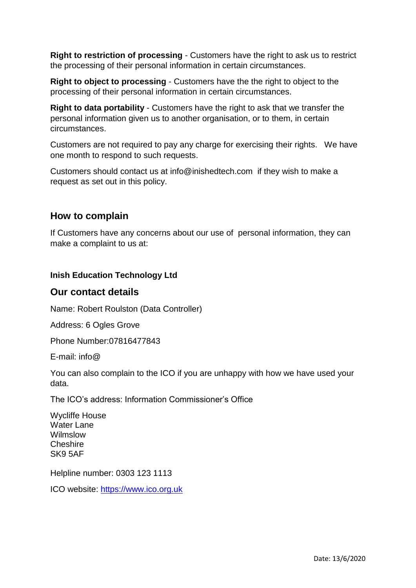**Right to restriction of processing** - Customers have the right to ask us to restrict the processing of their personal information in certain circumstances.

**Right to object to processing - Customers have the the right to object to the** processing of their personal information in certain circumstances.

**Right to data portability** - Customers have the right to ask that we transfer the personal information given us to another organisation, or to them, in certain circumstances.

Customers are not required to pay any charge for exercising their rights. We have one month to respond to such requests.

Customers should contact us at info@inishedtech.com if they wish to make a request as set out in this policy.

#### **How to complain**

If Customers have any concerns about our use of personal information, they can make a complaint to us at:

#### **Inish Education Technology Ltd**

#### **Our contact details**

Name: Robert Roulston (Data Controller)

Address: 6 Ogles Grove

Phone Number:07816477843

E-mail: info@

You can also complain to the ICO if you are unhappy with how we have used your data.

The ICO's address: Information Commissioner's Office

Wycliffe House Water Lane Wilmslow **Cheshire** SK9 5AF

Helpline number: 0303 123 1113

ICO website: [https://www.ico.org.uk](https://www.ico.org.uk/)